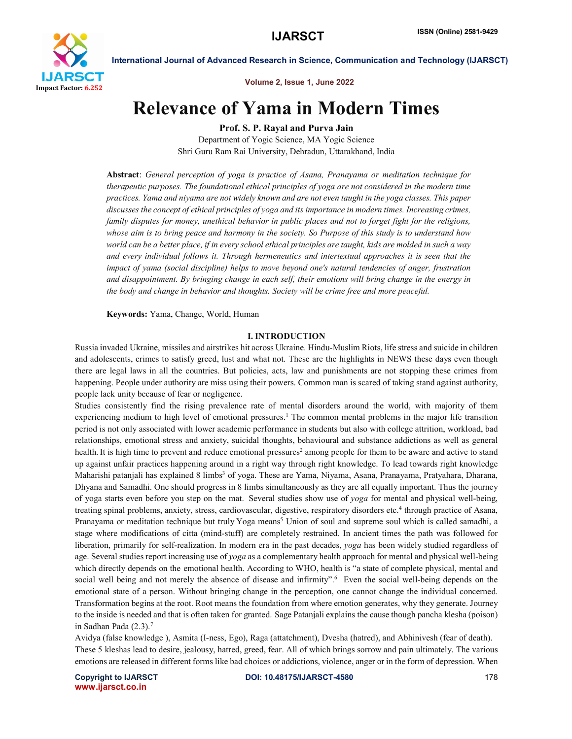

Volume 2, Issue 1, June 2022

# Relevance of Yama in Modern Times

Prof. S. P. Rayal and Purva Jain

Department of Yogic Science, MA Yogic Science Shri Guru Ram Rai University, Dehradun, Uttarakhand, India

Abstract: *General perception of yoga is practice of Asana, Pranayama or meditation technique for therapeutic purposes. The foundational ethical principles of yoga are not considered in the modern time practices. Yama and niyama are not widely known and are not even taught in the yoga classes. This paper discusses the concept of ethical principles of yoga and its importance in modern times. Increasing crimes, family disputes for money, unethical behavior in public places and not to forget fight for the religions, whose aim is to bring peace and harmony in the society. So Purpose of this study is to understand how world can be a better place, if in every school ethical principles are taught, kids are molded in such a way and every individual follows it. Through hermeneutics and intertextual approaches it is seen that the impact of yama (social discipline) helps to move beyond one's natural tendencies of anger, frustration and disappointment. By bringing change in each self, their emotions will bring change in the energy in the body and change in behavior and thoughts. Society will be crime free and more peaceful.*

Keywords: Yama, Change, World, Human

#### I. INTRODUCTION

Russia invaded Ukraine, missiles and airstrikes hit across Ukraine. Hindu-Muslim Riots, life stress and suicide in children and adolescents, crimes to satisfy greed, lust and what not. These are the highlights in NEWS these days even though there are legal laws in all the countries. But policies, acts, law and punishments are not stopping these crimes from happening. People under authority are miss using their powers. Common man is scared of taking stand against authority, people lack unity because of fear or negligence.

Studies consistently find the rising prevalence rate of mental disorders around the world, with majority of them experiencing medium to high level of emotional pressures.<sup>1</sup> The common mental problems in the major life transition period is not only associated with lower academic performance in students but also with college attrition, workload, bad relationships, emotional stress and anxiety, suicidal thoughts, behavioural and substance addictions as well as general health. It is high time to prevent and reduce emotional pressures<sup>2</sup> among people for them to be aware and active to stand up against unfair practices happening around in a right way through right knowledge. To lead towards right knowledge Maharishi patanjali has explained 8 limbs<sup>3</sup> of yoga. These are Yama, Niyama, Asana, Pranayama, Pratyahara, Dharana, Dhyana and Samadhi. One should progress in 8 limbs simultaneously as they are all equally important. Thus the journey of yoga starts even before you step on the mat. Several studies show use of *yoga* for mental and physical well-being, treating spinal problems, anxiety, stress, cardiovascular, digestive, respiratory disorders etc.4 through practice of Asana, Pranayama or meditation technique but truly Yoga means<sup>5</sup> Union of soul and supreme soul which is called samadhi, a stage where modifications of citta (mind-stuff) are completely restrained. In ancient times the path was followed for liberation, primarily for self-realization. In modern era in the past decades, *yoga* has been widely studied regardless of age. Several studies report increasing use of *yoga* as a complementary health approach for mental and physical well-being which directly depends on the emotional health. According to WHO, health is "a state of complete physical, mental and social well being and not merely the absence of disease and infirmity".<sup>6</sup> Even the social well-being depends on the emotional state of a person. Without bringing change in the perception, one cannot change the individual concerned. Transformation begins at the root. Root means the foundation from where emotion generates, why they generate. Journey to the inside is needed and that is often taken for granted. Sage Patanjali explains the cause though pancha klesha (poison) in Sadhan Pada (2.3).7

Avidya (false knowledge ), Asmita (I-ness, Ego), Raga (attatchment), Dvesha (hatred), and Abhinivesh (fear of death). These 5 kleshas lead to desire, jealousy, hatred, greed, fear. All of which brings sorrow and pain ultimately. The various emotions are released in different forms like bad choices or addictions, violence, anger or in the form of depression. When

www.ijarsct.co.in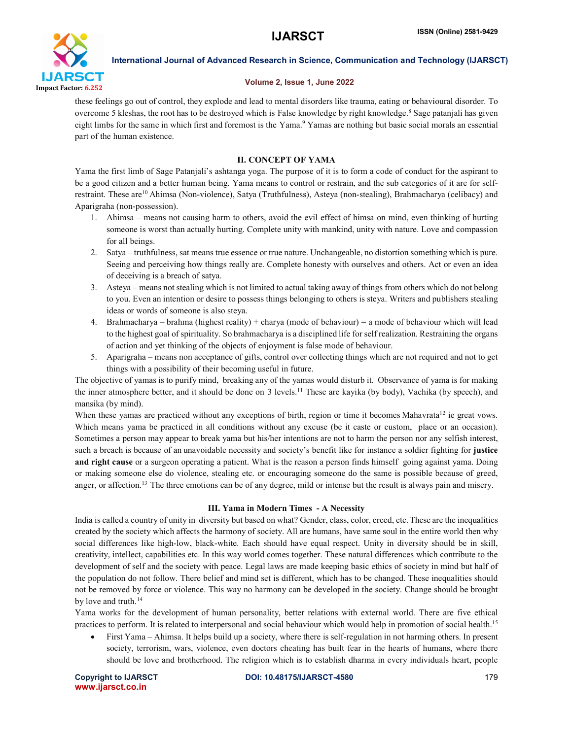

### Volume 2, Issue 1, June 2022

these feelings go out of control, they explode and lead to mental disorders like trauma, eating or behavioural disorder. To overcome 5 kleshas, the root has to be destroyed which is False knowledge by right knowledge.<sup>8</sup> Sage patanjali has given eight limbs for the same in which first and foremost is the Yama. <sup>9</sup> Yamas are nothing but basic social morals an essential part of the human existence.

# II. CONCEPT OF YAMA

Yama the first limb of Sage Patanjali's ashtanga yoga. The purpose of it is to form a code of conduct for the aspirant to be a good citizen and a better human being. Yama means to control or restrain, and the sub categories of it are for selfrestraint. These are<sup>10</sup> Ahimsa (Non-violence), Satya (Truthfulness), Asteya (non-stealing), Brahmacharya (celibacy) and Aparigraha (non-possession).

- 1. Ahimsa means not causing harm to others, avoid the evil effect of himsa on mind, even thinking of hurting someone is worst than actually hurting. Complete unity with mankind, unity with nature. Love and compassion for all beings.
- 2. Satya truthfulness, sat means true essence or true nature. Unchangeable, no distortion something which is pure. Seeing and perceiving how things really are. Complete honesty with ourselves and others. Act or even an idea of deceiving is a breach of satya.
- 3. Asteya means not stealing which is not limited to actual taking away of things from others which do not belong to you. Even an intention or desire to possess things belonging to others is steya. Writers and publishers stealing ideas or words of someone is also steya.
- 4. Brahmacharya brahma (highest reality) + charya (mode of behaviour) = a mode of behaviour which will lead to the highest goal of spirituality. So brahmacharya is a disciplined life for self realization. Restraining the organs of action and yet thinking of the objects of enjoyment is false mode of behaviour.
- 5. Aparigraha means non acceptance of gifts, control over collecting things which are not required and not to get things with a possibility of their becoming useful in future.

The objective of yamas is to purify mind, breaking any of the yamas would disturb it. Observance of yama is for making the inner atmosphere better, and it should be done on 3 levels.11 These are kayika (by body), Vachika (by speech), and mansika (by mind).

When these yamas are practiced without any exceptions of birth, region or time it becomes Mahavrata<sup>12</sup> ie great vows. Which means yama be practiced in all conditions without any excuse (be it caste or custom, place or an occasion). Sometimes a person may appear to break yama but his/her intentions are not to harm the person nor any selfish interest, such a breach is because of an unavoidable necessity and society's benefit like for instance a soldier fighting for justice and right cause or a surgeon operating a patient. What is the reason a person finds himself going against yama. Doing or making someone else do violence, stealing etc. or encouraging someone do the same is possible because of greed, anger, or affection. 13 The three emotions can be of any degree, mild or intense but the result is always pain and misery.

# III. Yama in Modern Times - A Necessity

India is called a country of unity in diversity but based on what? Gender, class, color, creed, etc.These are the inequalities created by the society which affects the harmony of society. All are humans, have same soul in the entire world then why social differences like high-low, black-white. Each should have equal respect. Unity in diversity should be in skill, creativity, intellect, capabilities etc. In this way world comes together. These natural differences which contribute to the development of self and the society with peace. Legal laws are made keeping basic ethics of society in mind but half of the population do not follow. There belief and mind set is different, which has to be changed. These inequalities should not be removed by force or violence. This way no harmony can be developed in the society. Change should be brought by love and truth. 14

Yama works for the development of human personality, better relations with external world. There are five ethical practices to perform. It is related to interpersonal and social behaviour which would help in promotion of social health.15

 First Yama – Ahimsa. It helps build up a society, where there is self-regulation in not harming others. In present society, terrorism, wars, violence, even doctors cheating has built fear in the hearts of humans, where there should be love and brotherhood. The religion which is to establish dharma in every individuals heart, people

www.ijarsct.co.in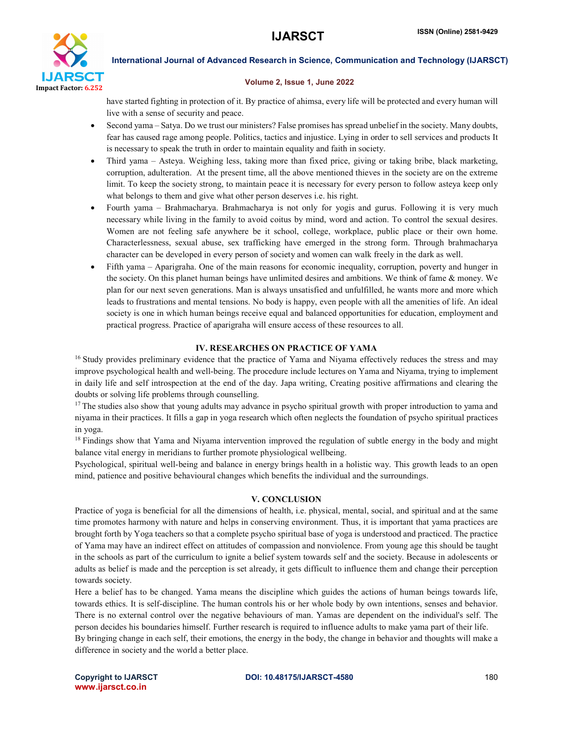

#### Volume 2, Issue 1, June 2022

have started fighting in protection of it. By practice of ahimsa, every life will be protected and every human will live with a sense of security and peace.

- Second yama Satya. Do we trust our ministers? False promises has spread unbelief in the society. Many doubts, fear has caused rage among people. Politics, tactics and injustice. Lying in order to sell services and products It is necessary to speak the truth in order to maintain equality and faith in society.
- Third yama Asteya. Weighing less, taking more than fixed price, giving or taking bribe, black marketing, corruption, adulteration. At the present time, all the above mentioned thieves in the society are on the extreme limit. To keep the society strong, to maintain peace it is necessary for every person to follow asteya keep only what belongs to them and give what other person deserves i.e. his right.
- Fourth yama Brahmacharya. Brahmacharya is not only for yogis and gurus. Following it is very much necessary while living in the family to avoid coitus by mind, word and action. To control the sexual desires. Women are not feeling safe anywhere be it school, college, workplace, public place or their own home. Characterlessness, sexual abuse, sex trafficking have emerged in the strong form. Through brahmacharya character can be developed in every person of society and women can walk freely in the dark as well.
- Fifth yama Aparigraha. One of the main reasons for economic inequality, corruption, poverty and hunger in the society. On this planet human beings have unlimited desires and ambitions. We think of fame & money. We plan for our next seven generations. Man is always unsatisfied and unfulfilled, he wants more and more which leads to frustrations and mental tensions. No body is happy, even people with all the amenities of life. An ideal society is one in which human beings receive equal and balanced opportunities for education, employment and practical progress. Practice of aparigraha will ensure access of these resources to all.

# IV. RESEARCHES ON PRACTICE OF YAMA

<sup>16</sup> Study provides preliminary evidence that the practice of Yama and Niyama effectively reduces the stress and may improve psychological health and well-being. The procedure include lectures on Yama and Niyama, trying to implement in daily life and self introspection at the end of the day. Japa writing, Creating positive affirmations and clearing the doubts or solving life problems through counselling.

<sup>17</sup> The studies also show that young adults may advance in psycho spiritual growth with proper introduction to yama and niyama in their practices. It fills a gap in yoga research which often neglects the foundation of psycho spiritual practices in yoga.

<sup>18</sup> Findings show that Yama and Niyama intervention improved the regulation of subtle energy in the body and might balance vital energy in meridians to further promote physiological wellbeing.

Psychological, spiritual well-being and balance in energy brings health in a holistic way. This growth leads to an open mind, patience and positive behavioural changes which benefits the individual and the surroundings.

# V. CONCLUSION

Practice of yoga is beneficial for all the dimensions of health, i.e. physical, mental, social, and spiritual and at the same time promotes harmony with nature and helps in conserving environment. Thus, it is important that yama practices are brought forth by Yoga teachers so that a complete psycho spiritual base of yoga is understood and practiced. The practice of Yama may have an indirect effect on attitudes of compassion and nonviolence. From young age this should be taught in the schools as part of the curriculum to ignite a belief system towards self and the society. Because in adolescents or adults as belief is made and the perception is set already, it gets difficult to influence them and change their perception towards society.

Here a belief has to be changed. Yama means the discipline which guides the actions of human beings towards life, towards ethics. It is self-discipline. The human controls his or her whole body by own intentions, senses and behavior. There is no external control over the negative behaviours of man. Yamas are dependent on the individual's self. The person decides his boundaries himself. Further research is required to influence adults to make yama part of their life. By bringing change in each self, their emotions, the energy in the body, the change in behavior and thoughts will make a

difference in society and the world a better place.